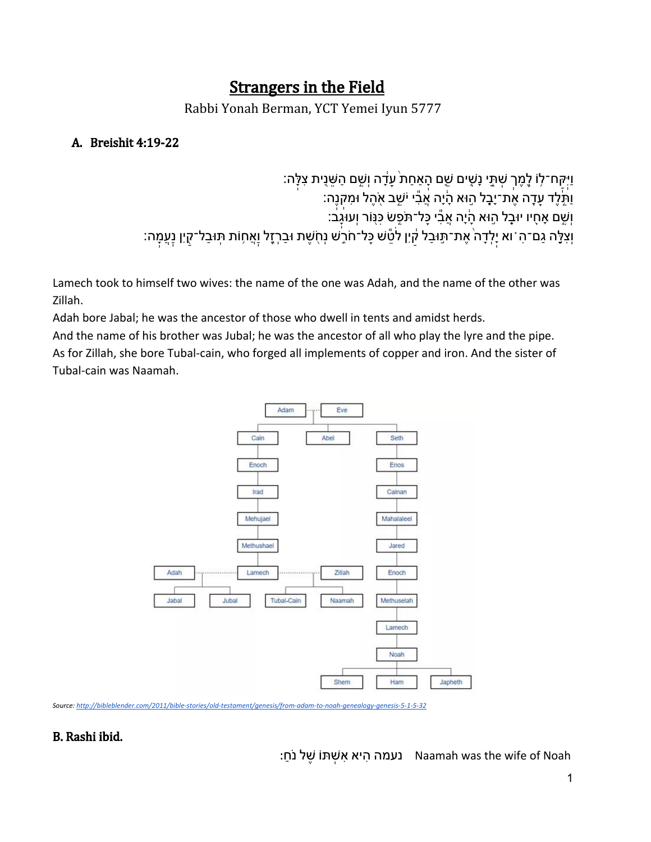# Strangers in the Field

Rabbi Yonah Berman, YCT Yemei Iyun 5777

# A. Breishit 4:19-22

וַיְּקְּח־לִוֹ לָמֶךְ שְׁתַּ֣י נָשִׁים שֻׁם הָאַחַת ֹעָדָה וְשֵׁם הַשֵּׁנִית צִלְּה: וַתֵּלֶד עָדָה אֶת־יָבָל הַוּא הָׂיָה אֲבִّי יֹשֵׁב אֶהֶל וּמִקְנֶה: ֿוְשֵׁם אָחָיו יוּבָל הַוּא הָדָה אֲבִّי כָּל־תֹּפְשׂ כִּנֻּוֹר וְעוּגְ**ב**ֹ וְצִלֵּה גַם־הִ ׁוא יְלְדָה אֶת־תַּוּבַל קַׁיִן לֹטֵשׁ כָּל־חֹרֵשׁ נְחֻשָׁת וּבַרְזֶל וְאֲחָוֹת תְּוּבַל־קֻיִן נְעֲמְה:

Lamech took to himself two wives: the name of the one was Adah, and the name of the other was Zillah.

Adah bore Jabal; he was the ancestor of those who dwell in tents and amidst herds.

And the name of his brother was Jubal; he was the ancestor of all who play the lyre and the pipe. As for Zillah, she bore Tubal-cain, who forged all implements of copper and iron. And the sister of Tubal-cain was Naamah.



*Source: <http://bibleblender.com/2011/bible-stories/old-testament/genesis/from-adam-to-noah-genealogy-genesis-5-1-5-32>*

#### B. Rashi ibid.

נעמה היא אִשִׁתּוֹ שׁל נֹחַ: Naamah was the wife of Noah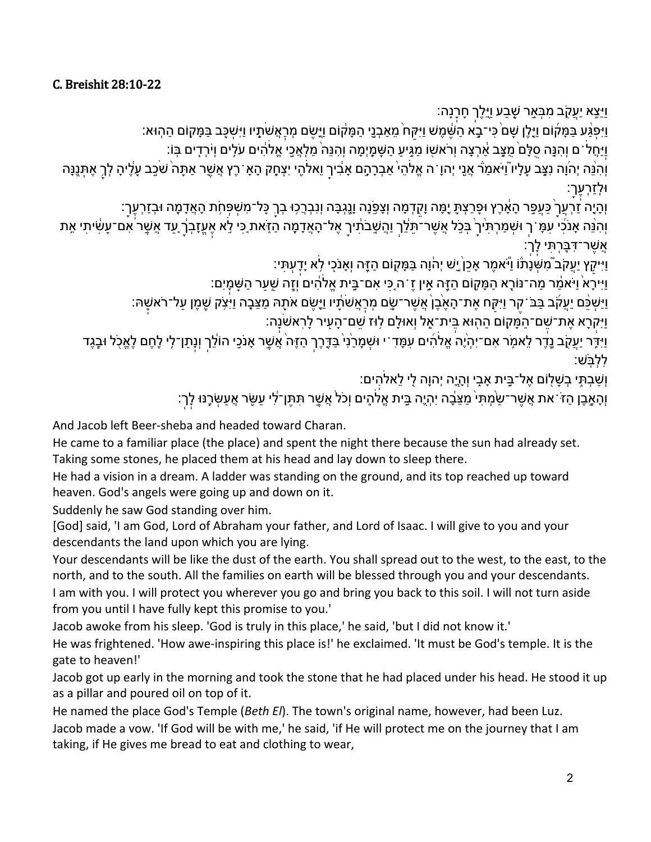וַיֵּצָא יַעֲקֻׂב מִבְּאֵר שֶׁבַע וַיֵּלֶךְ חָרְנָה:

וַיִּפְגַּע בַּמָּקוֹם וַיָָלֶן שָׁם ֹכִּי־בָא הַשֶּׁמֶשׁ וַיִּקַּח מֵאַבְנֵי הַמָּקוֹם וֵיֶשֶׂם מְרְאֲשֹׁתָיו וַיִּשְׁכָּב בַּמָּקוֹם הַהְוּא:

וְיָּחֲל<sup>ִי</sup>ם וְהִנָּה סֻלָּם מֵצָּב אַרְצָה וְרֹאשׁוֹ מַגֵּיִעַ הַשָּׁמֶיְמָה וְהִנֵּה מַלְאֲכֵי אֱלֹהִים עֹלִים וְיֹרְדָים בְּוֹ:

ּוְהִנֵּה יְהוָה נִצָּב עָלָיו ֿוַיֹּאמַר אֲנֵי יְהוָ־ה אֱלֹהֵי אַבְרָהַם אָבִׁיךָ וֵאלֹהֶי יִצְחֶק הָאָ־רֶץ אֲשֶׁר אַתָּה שֹׁכֵב עָלֶיהָ לְךָ אֶתְנֵנָּה ּוּלְזַרְעֶךָ:

וְהָיֶה זַרְעֲךָ כַּעֲפֵר הָאֶׁרֶץ ו<sub>ָ</sub>פָּרַצְתָּ יֶמָּה וְקֻדְמָה וְצָפְנָה וָנֵגְבָּה וְנִבְרָכָוּ בְרָ כָּל־מִשְׁפְּחִת הָאֲדָמָה וּבְזַרְעֶךָ:

וְהִנֵּה אָנֹכִי עִמָּ ךְ וּשְׁמַרְתִּיךָ בְּכַל אֲשֶׁר־תֵּלֵךְ וַהֲשָׁבֹתִיךָ אֶל־הָאֲדָמֶה הַזֹּאת כִּי לַא אֶעֱזָבְרָ עַד אֲשָר אִם־עָשִׂיתי אָת ָאֲשׁר־דַּבְּרָתִי לַךְ

ַוַּיִּיקֵץ יַעֲקֹב ֿמִשְׁנָתוֹׁ וַיֹּאמֶר אָכֵן יֵשׁ יְהוָה בַּמָּקוֹם הַזָּה וְאָנֹכִי לָֹא יָדְעְתִּי:

וַיִּירָא<sup>´</sup>וַיֹּאמַ֫ר מַה־נּוֹרָא הַמָּקוֹם הַזֶּה אַין זֶ´ה ָכִּי אִם־בֵּית אֱלֹהִים ٰוְזֶה שַׁעַר הַשָּׁמְיִם:

וַיֵּשְׁכֵּם יַעֲקֹׁב בַּב<sup>ֵי</sup> קֶר וַיִּקַּח אֶת־הָאֶ֫בֶן <mark>ֹאֲשֶׁר־ש</mark>ָׂם מְרְאֲשֹׁתָוּ וַיֶּשֶׁם אֹתָהּ מַצֵּבָה וַיִּצְק שֶׁמֶן עַל־רֹאשְׁהּ:

וַיִּקְרָא אֶת־שֶׁם־הַמֶּקוֹם הַהֻוּא בְּית־אֶל וְאוּלָם לוּז שֵׁם־הָעָיר לָרִאשֹׁנְה:

וַיִּדֶּר יַעֲקֹב נֶדֶר לֵאמֶר אִם־יִהְיֶה אֱלֹהִים עִמָּדִ־י וּשְׁמָרַנִּי בַּדֶּרֶךְ הַזֶּה אֲשֶׁר אָנֹכֵי הוֹלֵךְ וְנְתַן־לִי לֶחֶם לֶאֱכֹל וּבֶנֶד ִלְל ֽבֹּשׁ׃

וְשַׁבְת<mark>ָ</mark>י בְשָׁלֻוֹם אֶל־בֵּית אָבָי וְהָיֶה יְהוָה לָי לֵאלֹהְיִם:

ֿוְהָאֶבֶן הַז<sup>ֹ</sup>יאת אֲשֶׁר־שַׂמְתִּי מַצֵּבָה יִהְיֶה בֵּית אֱלֹהָים וְכֹל אֲשֶׁר תִּתֶּן־לִי עַשֶּׂר אֲעַשְׂרֶנּוּ לְךְ:

And Jacob left [Beer-sheba](http://bible.ort.org/books/pentd2.asp?ACTION=displaypage&BOOK=1&CHAPTER=28#C536) and headed toward [Charan.](http://bible.ort.org/books/pentd2.asp?ACTION=displaypage&BOOK=1&CHAPTER=28#C537)

He came to a familiar place (the place) and spent the night there because the sun had already set. Taking some stones, he placed them at his head and lay down to sleep there.

He had a vision in a dream. A ladder was [standing](http://bible.ort.org/books/pentd2.asp?ACTION=displaypage&BOOK=1&CHAPTER=28#C538) on the ground, and its top reached up toward [heaven.](http://bible.ort.org/books/pentd2.asp?ACTION=displaypage&BOOK=1&CHAPTER=28#C538) God's angels were going up and down on it.

Suddenly he saw God standing [over](http://bible.ort.org/books/pentd2.asp?ACTION=displaypage&BOOK=1&CHAPTER=28#C539) him.

[God] said, 'I am God, Lord of Abraham your father, and Lord of Isaac. I will give to you and your descendants the land upon which you are lying.

Your descendants will be like the dust of the [earth](http://bible.ort.org/books/pentd2.asp?ACTION=displaypage&BOOK=1&CHAPTER=28#C540). You shall spread out to the west, to the east, to the north, and to the south. All the families on earth will be blessed through you and your [descendants.](http://bible.ort.org/books/pentd2.asp?ACTION=displaypage&BOOK=1&CHAPTER=28#C541) I am with you. I will protect you wherever you go and bring you back to this soil. I will not turn aside from you until I have fully kept this promise to you.'

Jacob awoke from his sleep. 'God is truly in this place,' he said, 'but I did not know it.'

He was frightened. 'How awe-inspiring this place is!' he exclaimed. 'It must be God's temple. It is the gate to heaven!'

Jacob got up early in the morning and took the stone that he had placed under his head. He stood it up as a pillar and poured oil on top of it.

He named the place God's [Temple](http://bible.ort.org/books/pentd2.asp?ACTION=displaypage&BOOK=1&CHAPTER=28#C542) (*[Beth](http://bible.ort.org/books/pentd2.asp?ACTION=displaypage&BOOK=1&CHAPTER=28#C542) El*[\).](http://bible.ort.org/books/pentd2.asp?ACTION=displaypage&BOOK=1&CHAPTER=28#C542) The town's original name, however, had been [Luz](http://bible.ort.org/books/pentd2.asp?ACTION=displaypage&BOOK=1&CHAPTER=28#C543). Jacob made a vow. 'If God will be with me,' he said, 'if He will protect me on the journey that I am taking, if He gives me bread to eat and clothing to wear,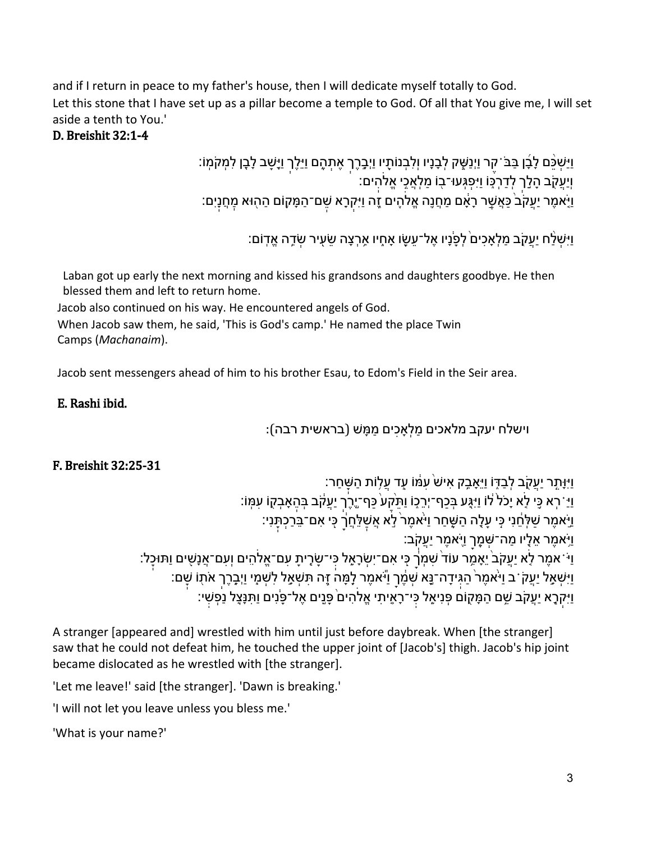and if I return in peace to my father's house, then I will [dedicate](http://bible.ort.org/books/pentd2.asp?ACTION=displaypage&BOOK=1&CHAPTER=28#C544) myself totally to God. Let this stone that I have set up as a pillar become a [temple](http://bible.ort.org/books/pentd2.asp?ACTION=displaypage&BOOK=1&CHAPTER=28#C545) to God. Of all that You give me, I will set aside a [tenth](http://bible.ort.org/books/pentd2.asp?ACTION=displaypage&BOOK=1&CHAPTER=28#C546) to You.'

D. Breishit 32:1-4

ַיַּשְׁכֵּם לָבָׁן בַּב<sup>ֵּ</sup> קֶר וַיְנַשָּׁק לְבָנָיו וְלִבְנוֹתָיו וַיְבָרֶךְ אֶתְהֶם וַיֵּלֶךְ וַיֶּשָׁב לָבָן לִמְקֹמְוֹ: וְיַעֲקֹב הָלַךְ לְדַרְכ<mark>ֶּ</mark>וֹ וַיִּפְגְּעוּ־בָוֹ מַלְאֲכֵ<mark>י אֱ</mark>לֹהְים: ֿיַיִּאמֶר יַעֲקֹב<sup>ֹ</sup> כַּאֲשֶׁר רָאָם מַחֲנֶה אֱלֹהֶים זֶה וַיִּקְרָא שֶׁם־הַמָּקוֹם הַהָוּא מְחֲנְֽיִם:

וַיִּשְׁלֵּח יַעֲקָב מַלְאָ**ֹכִי**ם ׁלְפֶׂנָיו אֶל־עֵשָׂו אָחֶיו אָרְצָה שֻׂעְיר שְׂדֶה אֱדְוֹם:

Laban got up early the next morning and kissed his grandsons and daughters goodbye. He then blessed them and left to return home.

Jacob also continued on his way. He encountered [angels of God.](http://bible.ort.org/books/pentd2.asp?ACTION=displaypage&BOOK=1&CHAPTER=32#C594)

When Jacob saw them, he said, 'This is God's camp.' He named the place [Twin](http://bible.ort.org/books/pentd2.asp?ACTION=displaypage&BOOK=1&CHAPTER=32#C595) [Camps](http://bible.ort.org/books/pentd2.asp?ACTION=displaypage&BOOK=1&CHAPTER=32#C595) (*[Machanaim](http://bible.ort.org/books/pentd2.asp?ACTION=displaypage&BOOK=1&CHAPTER=32#C596)*).

Jacob sent messengers ahead of him to his brother Esau, to [Edom's Field](http://bible.ort.org/books/pentd2.asp?ACTION=displaypage&BOOK=1&CHAPTER=32#C597) in the [Seir area.](http://bible.ort.org/books/pentd2.asp?ACTION=displaypage&BOOK=1&CHAPTER=32#C598)

E. Rashi ibid.

וישלח יעקב מלאכים ַמְלאִָכים ַמ ָמּשׁ (בראשית רבה):

#### F. Breishit 32:25-31

וַיִּוָּתֵר יַעֲקֹב לְבַדֶּוֹ וַיֵּאָבֶק אִישׁ ׁעִמּׁוֹ עָד עֲלָוֹת הַשְָּחַר: ַיַּ ֹרְא ּכֵּי לָֹא יָכֹל<sup>ּ (</sup>לֹוֹ וַיִּגָּע בְּכַף־יְרֵכֶוֹ וַתֵּקְעֹ כַּף־יֶהֶ<sup>'</sup>רְ יַעֲקֹּב בְּהֶאָבְקָוֹ עִמְּוֹ: וַיֹּאמֶר שַׁלְחֵנִי כִּי עָלָה הַשֶּׁחַר וַי<sup>ֹּ</sup>אמֶר<sup>י</sup> לַ<sup>ֹ</sup>א אֲשְׁלֵחְךָ כִּי אִם־בֵּבְכְתְּֽנִי: ֿוַיִּאמֶר אֵלָיו מַה־שְׁמֶךָ וַיִּאמֶר יַעֲק<mark>ֹ</mark>ב: ַוַּ אֹמֶר לֹא יַעֲקֹב<sup>ֹ</sup> יֵאָמֶר עוֹד<sup>ֹ</sup> שִׁמְּךָ כִּי אִם־יִשְׂרָאֵל כְּי־שָׂרֶיתָ עִם־אֱלֹהֵים וְעִם־אֲנָשָׁים וַתּוּכְָל: וַיִּשְׁאַל יַעֲק<sup>ִי</sup> ב וַיֹּאמֶר הַגְּידָה־נֵּא שְׁמֶרָ וַיֹּאמֶר לָמָה זֶה תִּשְׁאַל לִשְׁמָי וַיְבָרֶךְ אֹתֻוֹ שְׁם: וַיִּקְרָא יַעֲקֹב שָׁם הַמָּקוֹם פְּנִיאֶל כִּי־רָאֶיתִי אֱלֹהִים ׁפָּנֵים אֶל־פָּנִים וַתִּנָּצֶל נַפְשִׁי:<br>

A [stranger](http://bible.ort.org/books/pentd2.asp?ACTION=displaypage&BOOK=1&CHAPTER=32#C602) [appeared and] wrestled with him until just before daybreak. When [the stranger] saw that he could not defeat him, he touched the upper joint of [Jacob's] [thigh.](http://bible.ort.org/books/pentd2.asp?ACTION=displaypage&BOOK=1&CHAPTER=32#C603) Jacob's hip joint became dislocated as he wrestled with [the stranger].

'Let me leave!' said [the stranger]. 'Dawn is breaking.'

'I will not let you leave unless you bless me.'

'What is your name?'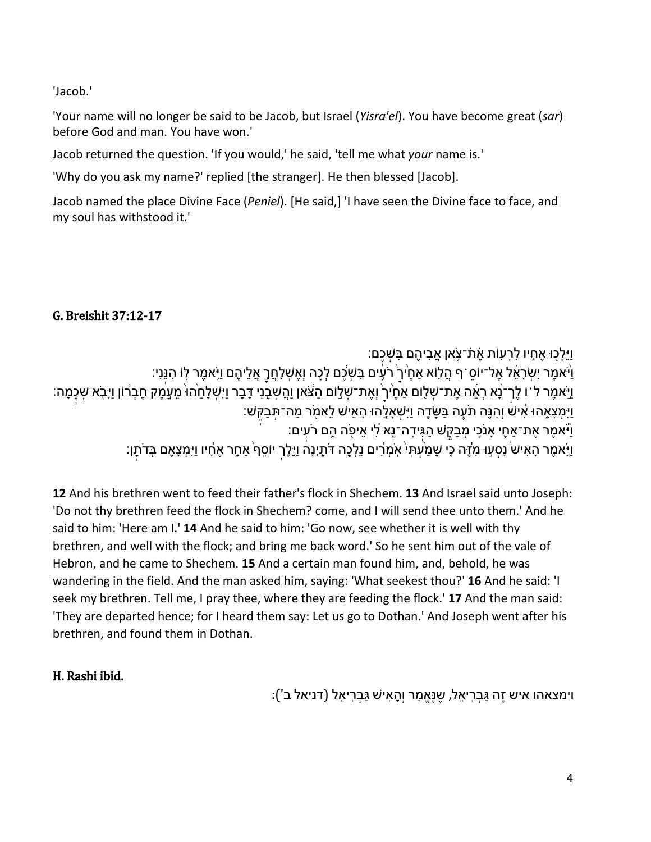'Jacob.'

'Your name will no longer be said to be Jacob, but [Israel](http://bible.ort.org/books/pentd2.asp?ACTION=displaypage&BOOK=1&CHAPTER=32#C604) (*[Yisra'el](http://bible.ort.org/books/pentd2.asp?ACTION=displaypage&BOOK=1&CHAPTER=32#C604)*[\).](http://bible.ort.org/books/pentd2.asp?ACTION=displaypage&BOOK=1&CHAPTER=32#C604) You have [become](http://bible.ort.org/books/pentd2.asp?ACTION=displaypage&BOOK=1&CHAPTER=32#C605) great (*[sar](http://bible.ort.org/books/pentd2.asp?ACTION=displaypage&BOOK=1&CHAPTER=32#C605)*[\)](http://bible.ort.org/books/pentd2.asp?ACTION=displaypage&BOOK=1&CHAPTER=32#C605) [before](http://bible.ort.org/books/pentd2.asp?ACTION=displaypage&BOOK=1&CHAPTER=32#C605) God and man. You have won.'

Jacob returned the question. 'If you would,' he said, 'tell me what *your* name is.'

'Why do you ask my [name?](http://bible.ort.org/books/pentd2.asp?ACTION=displaypage&BOOK=1&CHAPTER=32#C606)' replied [the stranger]. He then blessed [Jacob].

Jacob named the place Divine Face (*Peniel*). [He said,] 'I have seen the [Divine](http://bible.ort.org/books/pentd2.asp?ACTION=displaypage&BOOK=1&CHAPTER=32#C607) face to face, and my soul has [withstood](http://bible.ort.org/books/pentd2.asp?ACTION=displaypage&BOOK=1&CHAPTER=32#C607) it.'

### G. Breishit 37:12-17

ֿוַיֵּלְכָוּ אֶחָיו לְרְעוֹת אֶת־צִאן אֲבִיהֶם בִּשְׁכֶם:<br> ַיִּ֫יֹאמֶר יִשְׂרָאֵל אֶל־יוֹסֵ ֹף הֲלָוֹא אַחֶ<sup>י</sup>רָ ׁרֹעֵים בִּשְׁכֶם לְכָה וְאֶשְׁלָחֲךָ אֲלֵיהֶם וַיִּאמֶר לֻוֹ הִנְּנִי: וַיֵּׂאמֶר ל<sup>ָ</sup>יֹן לֶךְ־נָא רְאֵ֫ה אֶת־שְׁלָּוֹם אַחֶ<sup>י</sup>רָ וְאֶת־שְׁלַוֹם הַצֹּאן וַהֲשִׁבֶּנִי דָּבָר וַיִּשְׁלָחֵהוּ מֵעֲמֶק חֶבְרֹוֹן וַיָּבָא שְׁכֶָמָה: וַיִּמְצָאַהוּ אִישׁ וְהִנֶּה תֹעֶה בַּשֶּׂדֶה וַיִּשְׁאָלֶהוּ הָאִישׁ לֵאמֹר מַה־תְּבַקְּשׁ:<br>" ַוֹּ אמֶר אֶת־אַחֶי אָנֹכֵי מְבַקֱשׁ הַגְּידָה־נֵּא לִי אֵיפָה הֵם רֹעְים: וַיֵּאמֶר הָאִישׁ נָסְעַוּ מִזֶּה כָּי שָׁמַ<sup>ֹ</sup>עְתִּי אְמְרִים נֵלְכָה דֹּתָיִנָה וַיֵּלֶךְ יוֹסֵף<sup>ֹ</sup> אַחַר אֶחָיו וַיִּמְצָאֶם בְּדֹתְֽן:

**12** And his brethren went to feed their father's flock in Shechem. **13** And Israel said unto Joseph: 'Do not thy brethren feed the flock in Shechem? come, and I will send thee unto them.' And he said to him: 'Here am I.' **14** And he said to him: 'Go now, see whether it is well with thy brethren, and well with the flock; and bring me back word.' So he sent him out of the vale of Hebron, and he came to Shechem. **15** And a certain man found him, and, behold, he was wandering in the field. And the man asked him, saying: 'What seekest thou?' **16** And he said: 'I seek my brethren. Tell me, I pray thee, where they are feeding the flock.' **17** And the man said: 'They are departed hence; for I heard them say: Let us go to Dothan.' And Joseph went after his brethren, and found them in Dothan.

# H. Rashi ibid.

וימצאהו איש ֶזה ַגְּבִריֵאל, ֶשנֱֶּא ַמר וְָהִאישׁ ַגְּבִריֵאל ([דניאל](http://www.sefaria.org/Daniel.2) ב'):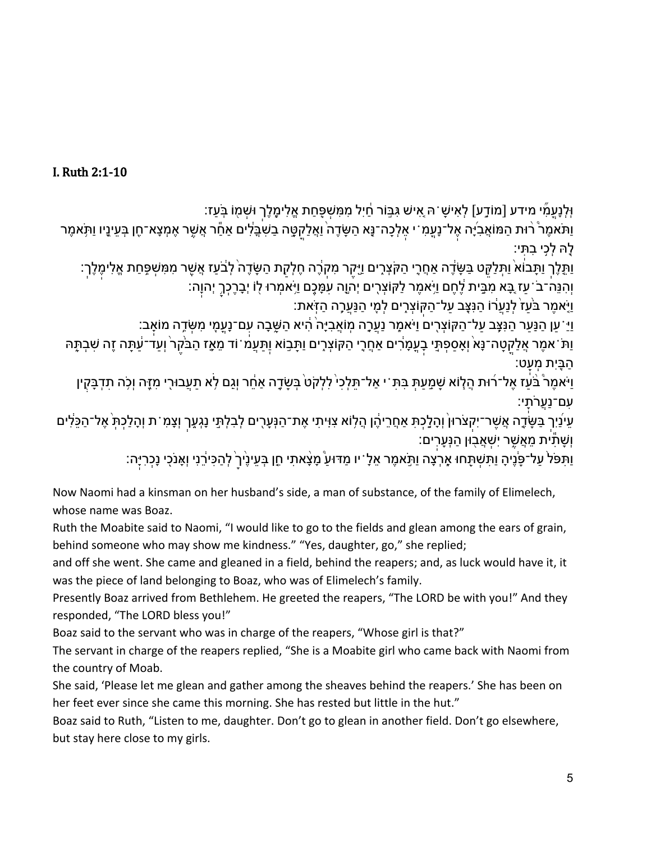#### I. Ruth 2:1-10

ֿוְּלִנָּעֲמִי מידע [מוֹדַע] לִאִישַׁ הּ אֵישׁ גִּבְּוֹר חַוֹל מִמְּשִׁפָּחַת אֱלִימֶלֶךְ וּשָׁמָוֹ בְּעַז:

וַתֹּאמֶר **֫רוּת הַמּוֹאֲבִיָּה אֶל־נָעֲמִ**י אֶלְכָה־נָּא הַשָּׂדֶה וַאֲלַקֻטָּה בַשִּׁבֵּלִים אַחַ֫ר אֲשֶׁר אֶמְצָא־חֶן בְּעֵינֵיו וַתְֹּאמֶר לָהּ לְכִי בִתְּי:

וַתֵּלֶךְ וַתָּבוֹא<sup>ׂ</sup> וַתְּלַקֵּט בַּשָּׂדֶה אַחֲרֶי הַקֹּצְרֵים וַיֵּקֶר מִקְרֶה חֶלְקַת הַשָּׂדֶה ׁלְבֹעַז אֲשֶׁר מִמִּשְׁפַּחַת אֱלִימֶֽלֶךְ: ּוְהִנֵּה־בֹ<sup>י</sup> עַז כֻּבָּא מִבֵּית לֶחֶם וַיִּאמֶר לַקּוֹצְרֻים יְהוֶה עְמָּכֶם וַיִּאמְרוּ לָוֹ יְבָרֶכְךָ יְהו<sub>ָ</sub>ה:

וַיָּׂאמֵר בֹּעַז<sup>ֹ</sup> לְנַעֲרֹוֹ הַנִּצָּב עַל־הַקּוֹצְרָים לְמֻי הַנַּעֲרָה הַזִּאת:

וַיֵּ ֿעַן הַנַּעַר הַנִּצָּב עַל־הַקּוֹצְרָים וַיֹּאמֶר נַעֲרָה מְוֹאֲבִיָּה וֹהִיא הַשֶּׁבָה עְם־נָעֶמֶי מִשְׂדֶה מוֹאְְב:

וַתּ ֹאמֶר אֲלַקֳטָה־נָּא ׁוְאָסַפְתֵּי בְעֶמָרִים אַחֲרֶי הַקּוֹצְרֶים וַתָּבַוֹא וְתַּעֲמ<sup>ָי</sup>וֹד מֵאֶז הַבֹּקֶר וְעַד־עַׁתָּה זֶה שִׁבְתָּהּ ֽט׃ ַהַבּ֖יִת ְמָע

ַוַּיֹּאמֶר בֹּעַׁז אֶל־רֹוּת הֲלָוֹא שָׁמַַעַתְּ בִּתְּי אַל־תֵּלְכִי לִלְקֹט בְּשָׂדֶה אַחֵר וְגַם לֹא תַעֲבוּרָי מִזֶה וְכָה תִדְבָּקֶין ֿעִם־נַעֲרֹתָי:

ַעֵּינַיִךְ בַּשֶּׂדֶה אֲשֶׁר־יִקְצֹרוּןۢ וְהָלֵכְתָּ אַחֲרֵיהֶׁן הֲלָוֹא צִוִּיתִי אֶת־הַנְּעָרֶים לְבִלְתַּי נָגְעֵךְ וְצָמִ´ת וְהָלַכְתְּ֔ אֶל־הַכֵּלִים ֿוְשַׁתִּית מֵאֲשֶׁר יִשְׁאֲבֻוּן הַנְּעָרְים:

וַתִּפֹּל עַל־פֶּנֶיהָ וַתִּשְׁתָּחוּ אֶרְצָה וַתַּאמֶר אֵלָ־יו מַדּוּעַ מָצָאתִי חֵן בְּעֵינֶ<sup>י</sup>ךָ לְהַכִּיהֵי וְאָנֹכְי נָכְרִי<sub>ְ</sub>ה:

Now Naomi had a kinsman on her husband's side, a man of substance, of the family of Elimelech, whose name was Boaz.

Ruth the Moabite said to Naomi, "I would like to go to the fields and glean among the ears of grain, behind someone who may show me kindness." "Yes, daughter, go," she replied;

and off she went. She came and gleaned in a field, behind the reapers; and, as luck would have it, it was the piece of land belonging to Boaz, who was of Elimelech's family.

Presently Boaz arrived from Bethlehem. He greeted the reapers, "The LORD be with you!" And they responded, "The LORD bless you!"

Boaz said to the servant who was in charge of the reapers, "Whose girl is that?"

The servant in charge of the reapers replied, "She is a Moabite girl who came back with Naomi from the country of Moab.

She said, 'Please let me glean and gather among the sheaves behind the reapers.' She has been on her feet ever since she came this morning. She has rested but little in the hut."

Boaz said to Ruth, "Listen to me, daughter. Don't go to glean in another field. Don't go elsewhere, but stay here close to my girls.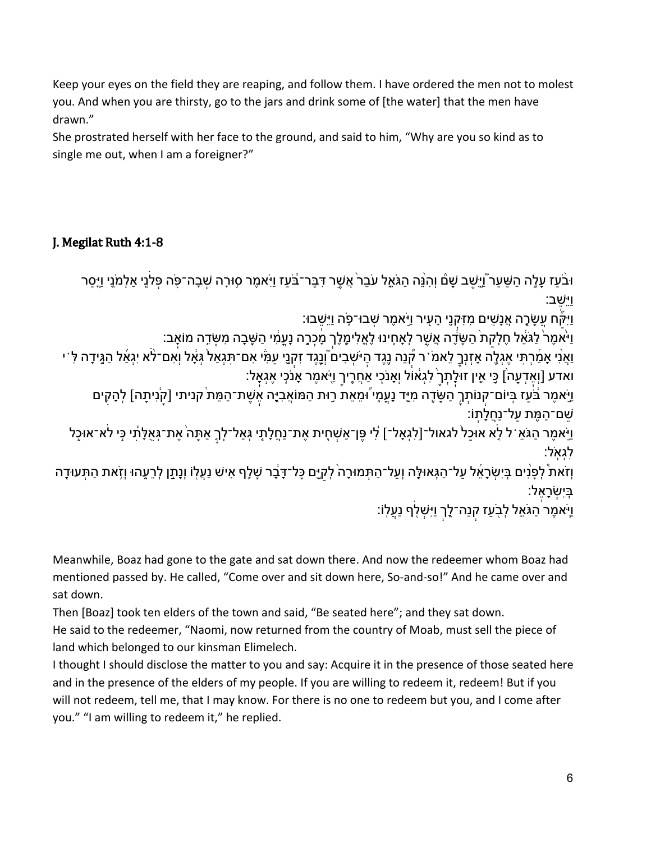Keep your eyes on the field they are reaping, and follow them. I have ordered the men not to molest you. And when you are thirsty, go to the jars and drink some of [the water] that the men have drawn."

She prostrated herself with her face to the ground, and said to him, "Why are you so kind as to single me out, when I am a foreigner?"

# J. Megilat Ruth 4:1-8

וּבֹּעַז עָלֶה הַשַּׁעַר ֿוַיֵּשָׁב שָׁם וְהִנֵּה הַגֹּאֵל עֹבֵר<sup>ֹ</sup> אֲשֶׁר דָּבֶּר־בֹּעַז וַיִּאמֶר סִוּרָה שְׁבָה־פָּה פְּלֹנֵי אַלְמֹנֵי וַיֶּסַר וַיֵֵּשֽׁ ב׃

ֿוַיִּקַּׁח עֲשָׂרָה אֲנָשִׁים מִזִּקְנֶי הָעָיר וַיַּאמֶר שְׁבוּ־פֶ**ֹה וַיֵ**ִשְֶׁבוּ:

וַיֹּאמֶר<sup>ֹ</sup> לַגֹּאֵ֫ל חֶלְקַת<sup>ֹ</sup> הַשָּׂדֶה אֲשֶׁר לְאָחֻינוּ לֶאֱלִימֶלֶךְ מִ֫כְרֵה נָעֲמִי הַשֶּׁבָה מִשְׂדֵה מוֹאְֽב:

וַאֲנִי אָמַ֫רְתִּי אֶגְלֶה אָזְנְךָ לֵאמֹ ר קְנֵה נֶגֶד הְיִשְׁבִים וְנֵגֶד זִקְנֵי עַמִּי אִם־תִּגְאַל גְאָל וְאִם־לֹא יִגְאַל הַגַּידָה לִ י ואדע [וְאֶדְעָה] כַּי אֵין זוּלְתְרָ ׁלִגְאֹוֹל וְאָנֹכִי אַחֲרֶיךָ וַיֹּאמֶר אָנֹכִי אֶגְאָֽל:

ּוַיֹּאמֶר בֹּעַז בְּיוֹם־קְנוֹתְךָ הַשֶּׂדֶה מִיַּד נָעֲמֶי וּמֵאֵת רַוּת הַמּוֹאֲבִיֶּה אֶשֶׁת־הַמֵּת ׁקניתי [קָׂנִיתָה] לְהָקָים ֵשׁם־ַה ֵמּ֖ת ַעל־נֲַחָל ֽתוֹ׃

וַיַּאמֶר הַגֹּאֵ<sup>ִ</sup>יל לַא אוּכַל לגאול־[לִגְאָל־] לִי פֶּן־אַשְׁחֻית אֶת־נַחֲלָתָי גְּאַל־לְךָ אַתָּה ֹאֶת־גְאֻלָּתִ֫י כְּי לֹא־אוּכָל לגאֹל:

וְזֹאת ֶֿלְפָנִים בְּיִשְׂרָאֵ֫ל עַל־הַגְּאוּלַָה וְעַל־הַתְּמוּרָה ֹלְקיֵים כָּל־דָּבָר שָׁלָף אֵישׁ נַעֲלֻוֹ וְנָתַ֣ן לְרֵעֶהוּ וְזָאת הַתְּעוּדָה **ַּ**בִּיְשְׂרָאֶל:

וַיֹּאמֶר<sup>'</sup>הַגֹּאֵל לְבֻׂעַז קְנֵה־לֶךְ וַיִּשְׁלָֹף נַעֲלְוֹ:

Meanwhile, Boaz had gone to the gate and sat down there. And now the redeemer whom Boaz had mentioned passed by. He called, "Come over and sit down here, So-and-so!" And he came over and sat down.

Then [Boaz] took ten elders of the town and said, "Be seated here"; and they sat down.

He said to the redeemer, "Naomi, now returned from the country of Moab, must sell the piece of land which belonged to our kinsman Elimelech.

I thought I should disclose the matter to you and say: Acquire it in the presence of those seated here and in the presence of the elders of my people. If you are willing to redeem it, redeem! But if you will not redeem, tell me, that I may know. For there is no one to redeem but you, and I come after you." "I am willing to redeem it," he replied.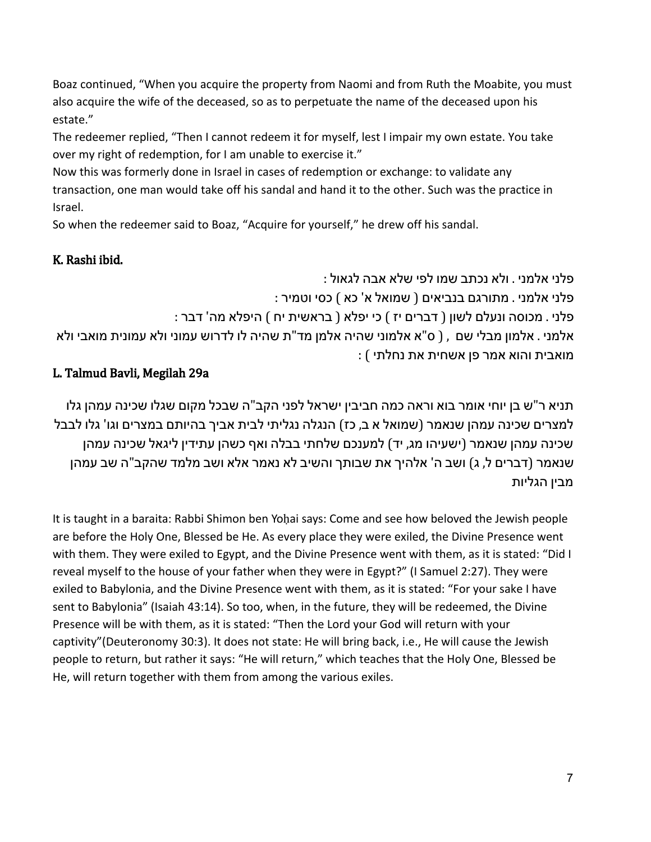Boaz continued, "When you acquire the property from Naomi and from Ruth the Moabite, you must also acquire the wife of the deceased, so as to perpetuate the name of the deceased upon his estate."

The redeemer replied, "Then I cannot redeem it for myself, lest I impair my own estate. You take over my right of redemption, for I am unable to exercise it."

Now this was formerly done in Israel in cases of redemption or exchange: to validate any transaction, one man would take off his sandal and hand it to the other. Such was the practice in Israel.

So when the redeemer said to Boaz, "Acquire for yourself," he drew off his sandal.

### K. Rashi ibid.

פלני אלמני . ולא נכתב שמו לפי שלא אבה לגאול : פלני אלמני . מתורגם בנביאים ( [שמואל](http://www.sefaria.org/I_Samuel.21) א' כא ) כסי וטמיר : פלני . מכוסה ונעלם לשון ( [דברים](http://www.sefaria.org/Deuteronomy.17) יז ) כי יפלא ( [בראשית](http://www.sefaria.org/Genesis.18) יח ) היפלא מה' דבר : אלמני . אלמון מבלי שם , ( ס"א אלמוני שהיה אלמן מד"ת שהיה לו לדרוש עמוני ולא עמונית מואבי ולא מואבית והוא אמר פן אשחית את נחלתי ) :

# L. Talmud Bavli, Megilah 29a

תניא ר"ש בן יוחי אומר בוא וראה כמה חביבין ישראל לפני הקב"ה שבכל מקום שגלו שכינה עמהן גלו למצרים שכינה עמהן שנאמר ([שמואל](http://www.sefaria.org/I_Samuel.2.27) א ב, כז) הנגלה נגליתי לבית אביך בהיותם במצרים וגו' גלו לבבל שכינה עמהן שנאמר ([ישעיהו](http://www.sefaria.org/Isaiah.43.14) מג, יד) למענכם שלחתי בבלה ואף כשהן עתידין ליגאל שכינה עמהן שנאמר ([דברים](http://www.sefaria.org/Deuteronomy.30.3) ל, ג) ושב ה' אלהיך את שבותך והשיב לא נאמר אלא ושב מלמד שהקב"ה שב עמהן מבין הגליות

It is taught in a baraita: Rabbi Shimon ben Yoḥai says: Come and see how beloved the Jewish people are before the Holy One, Blessed be He. As every place they were exiled, the Divine Presence went with them. They were exiled to Egypt, and the Divine Presence went with them, as it is stated: "Did I reveal myself to the house of your father when they were in Egypt?" (I Samuel 2:27). They were exiled to Babylonia, and the Divine Presence went with them, as it is stated: "For your sake I have sent to Babylonia" ([Isaiah 43:14\)](http://www.sefaria.org/Isaiah.43.14). So too, when, in the future, they will be redeemed, the Divine Presence will be with them, as it is stated: "Then the Lord your God will return with your captivity"[\(Deuteronomy 30:3\)](http://www.sefaria.org/Deuteronomy.30.3). It does not state: He will bring back, i.e., He will cause the Jewish people to return, but rather it says: "He will return," which teaches that the Holy One, Blessed be He, will return together with them from among the various exiles.